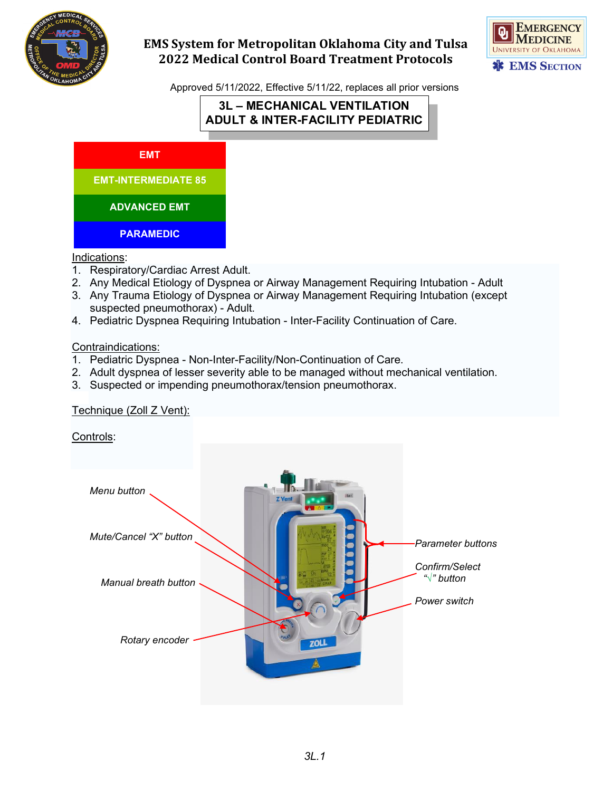



Approved 5/11/2022, Effective 5/11/22, replaces all prior versions

# **3L – MECHANICAL VENTILATION ADULT & INTER-FACILITY PEDIATRIC**



Indications:

- 1. Respiratory/Cardiac Arrest Adult.
- 2. Any Medical Etiology of Dyspnea or Airway Management Requiring Intubation Adult
- 3. Any Trauma Etiology of Dyspnea or Airway Management Requiring Intubation (except suspected pneumothorax) - Adult.
- 4. Pediatric Dyspnea Requiring Intubation Inter-Facility Continuation of Care.

Contraindications:

- 1. Pediatric Dyspnea Non-Inter-Facility/Non-Continuation of Care.
- 2. Adult dyspnea of lesser severity able to be managed without mechanical ventilation.
- 3. Suspected or impending pneumothorax/tension pneumothorax.

### Technique (Zoll Z Vent):

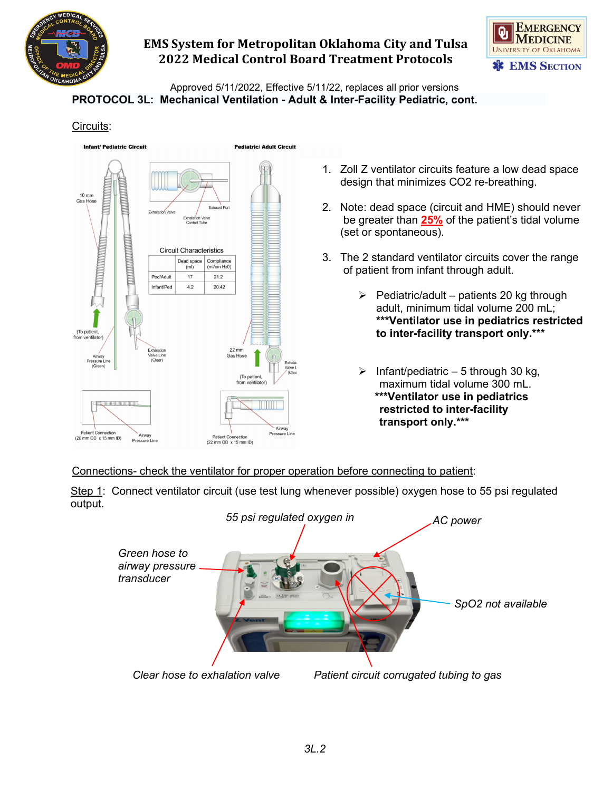



Approved 5/11/2022, Effective 5/11/22, replaces all prior versions **PROTOCOL 3L: Mechanical Ventilation - Adult & Inter-Facility Pediatric, cont.**

### Circuits:



- 1. Zoll Z ventilator circuits feature a low dead space design that minimizes CO2 re-breathing.
- 2. Note: dead space (circuit and HME) should never be greater than **25%** of the patient's tidal volume (set or spontaneous).
- 3. The 2 standard ventilator circuits cover the range of patient from infant through adult.
	- $\triangleright$  Pediatric/adult patients 20 kg through adult, minimum tidal volume 200 mL; **\*\*\*Ventilator use in pediatrics restricted to inter-facility transport only.\*\*\***
	- Infant/pediatric 5 through 30 kg, maximum tidal volume 300 mL. **\*\*\*Ventilator use in pediatrics restricted to inter-facility transport only.\*\*\***

Connections- check the ventilator for proper operation before connecting to patient:

Step 1: Connect ventilator circuit (use test lung whenever possible) oxygen hose to 55 psi regulated output.

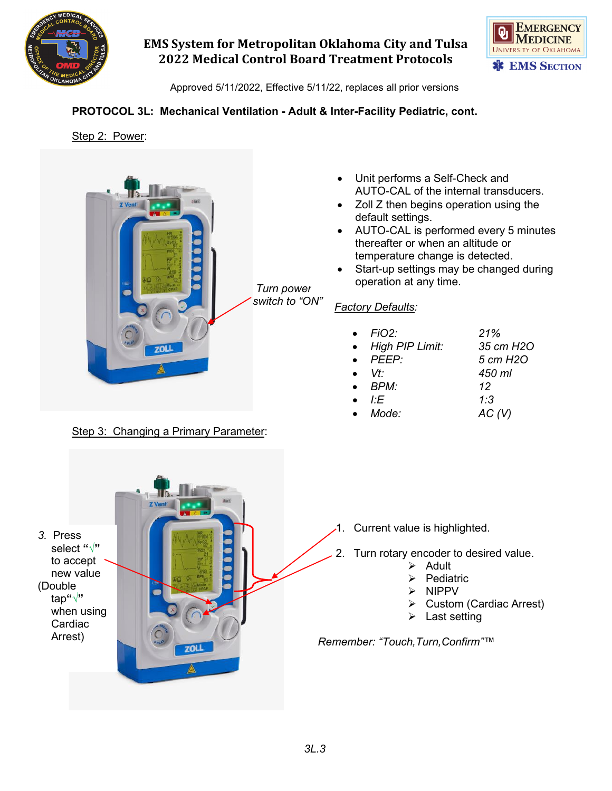



Approved 5/11/2022, Effective 5/11/22, replaces all prior versions

### **PROTOCOL 3L: Mechanical Ventilation - Adult & Inter-Facility Pediatric, cont.**

### Step 2: Power:



Step 3: Changing a Primary Parameter:

- Unit performs a Self-Check and AUTO-CAL of the internal transducers.
- Zoll Z then begins operation using the default settings.
- AUTO-CAL is performed every 5 minutes thereafter or when an altitude or temperature change is detected.
- Start-up settings may be changed during operation at any time.

### *Factory Defaults:*

| FiO2:<br>• High PIP Limit:<br>$\bullet$ PEEP:<br>$\bullet$ $Vt$<br>$\bullet$ BPM:<br>ŀF | 21%<br>35 cm H <sub>2</sub> O<br>5 cm H <sub>2</sub> O<br>450 ml<br>12<br>1:3 |
|-----------------------------------------------------------------------------------------|-------------------------------------------------------------------------------|
| Mode:                                                                                   | AC (V)                                                                        |
|                                                                                         |                                                                               |

- 1. Current value is highlighted.
- 2. Turn rotary encoder to desired value.
	- $\triangleright$  Adult
	- Pediatric
	- NIPPV
	- Custom (Cardiac Arrest)
	- Last setting

*Remember: "Touch,Turn,Confirm"™*